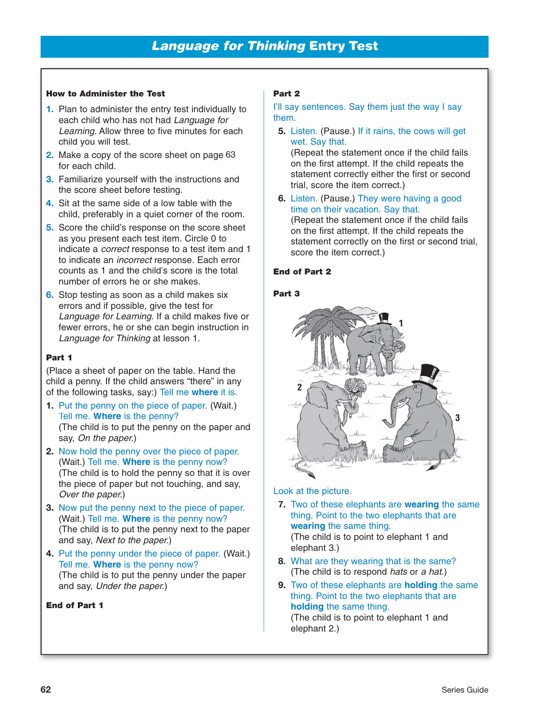### **How to Administer the Test**

- **1.** Plan to administer the entry test individually to each child who has not had Language for Learning. Allow three to five minutes for each child you will test.
- **2.** Make a copy of the score sheet on page 63for each child.
- **3.** Familiarize yourself with the instructions and the score sheet before testing.
- **4.** Sit at the same side of a low table with the child, preferably in a quiet corner of the room.
- **5.** Score the child's response on the score sheet as you present each test item. Circle 0 to indicate a correct response to a test item and 1 to indicate an *incorrect* response. Each error counts as 1 and the child's score is the total number of errors he or she makes.
- **6.** Stop testing as soon as a child makes six errors and if possible, give the test for Language for Learning. If a child makes five or fewer errors, he or she can begin instruction in Language for Thinking at lesson 1.

### **Part 1**

(Place a sheet of paper on the table. Hand the child a penny. If the child answers "there" in any of the following tasks, say:) Tell me **where** it is.

- **1.** Put the penny on the piece of paper. (Wait.) Tell me. **Where** is the penny? (The child is to put the penny on the paper and say, On the paper.)
- **2.** Now hold the penny over the piece of paper. (Wait.) Tell me. **Where** is the penny now? (The child is to hold the penny so that it is over the piece of paper but not touching, and say, Over the paper.)
- **3.** Now put the penny next to the piece of paper. (Wait.) Tell me. **Where** is the penny now? (The child is to put the penny next to the paper and say, Next to the paper.)
- **4.** Put the penny under the piece of paper. (Wait.) Tell me. **Where** is the penny now? (The child is to put the penny under the paper and say, Under the paper.)

#### **End of Part 1**

# **Part 2**

I'll say sentences. Say them just the way I say them.

**5.** Listen. (Pause.) If it rains, the cows will get wet. Say that.

(Repeat the statement once if the child fails on the first attempt. If the child repeats the statement correctly either the first or second trial, score the item correct.)

**6.** Listen. (Pause.) They were having a good time on their vacation. Say that. (Repeat the statement once if the child fails on the first attempt. If the child repeats the

statement correctly on the first or second trial, score the item correct.)

#### **End of Part 2**

# **Part 3**



#### Look at the picture.

- **7.** Two of these elephants are **wearing** the same thing. Point to the two elephants that are **wearing** the same thing. (The child is to point to elephant 1 and elephant 3.)
- **8.** What are they wearing that is the same? (The child is to respond hats or a hat.)
- **9.** Two of these elephants are **holding** the same thing. Point to the two elephants that are **holding** the same thing.

(The child is to point to elephant 1 and elephant 2.)